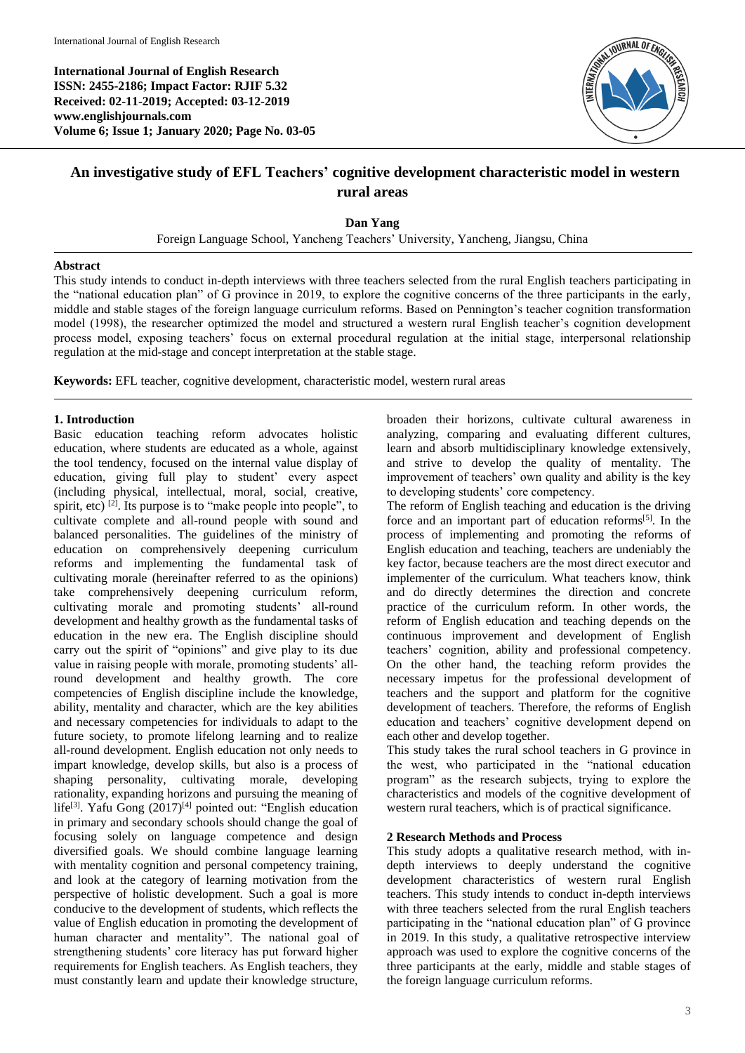**International Journal of English Research ISSN: 2455-2186; Impact Factor: RJIF 5.32 Received: 02-11-2019; Accepted: 03-12-2019 www.englishjournals.com Volume 6; Issue 1; January 2020; Page No. 03-05**



# **An investigative study of EFL Teachers' cognitive development characteristic model in western rural areas**

**Dan Yang**

Foreign Language School, Yancheng Teachers' University, Yancheng, Jiangsu, China

### **Abstract**

This study intends to conduct in-depth interviews with three teachers selected from the rural English teachers participating in the "national education plan" of G province in 2019, to explore the cognitive concerns of the three participants in the early, middle and stable stages of the foreign language curriculum reforms. Based on Pennington's teacher cognition transformation model (1998), the researcher optimized the model and structured a western rural English teacher's cognition development process model, exposing teachers' focus on external procedural regulation at the initial stage, interpersonal relationship regulation at the mid-stage and concept interpretation at the stable stage.

**Keywords:** EFL teacher, cognitive development, characteristic model, western rural areas

## **1. Introduction**

Basic education teaching reform advocates holistic education, where students are educated as a whole, against the tool tendency, focused on the internal value display of education, giving full play to student' every aspect (including physical, intellectual, moral, social, creative, spirit, etc)  $[2]$ . Its purpose is to "make people into people", to cultivate complete and all-round people with sound and balanced personalities. The guidelines of the ministry of education on comprehensively deepening curriculum reforms and implementing the fundamental task of cultivating morale (hereinafter referred to as the opinions) take comprehensively deepening curriculum reform, cultivating morale and promoting students' all-round development and healthy growth as the fundamental tasks of education in the new era. The English discipline should carry out the spirit of "opinions" and give play to its due value in raising people with morale, promoting students' allround development and healthy growth. The core competencies of English discipline include the knowledge, ability, mentality and character, which are the key abilities and necessary competencies for individuals to adapt to the future society, to promote lifelong learning and to realize all-round development. English education not only needs to impart knowledge, develop skills, but also is a process of shaping personality, cultivating morale, developing rationality, expanding horizons and pursuing the meaning of life<sup>[3]</sup>. Yafu Gong (2017)<sup>[4]</sup> pointed out: "English education in primary and secondary schools should change the goal of focusing solely on language competence and design diversified goals. We should combine language learning with mentality cognition and personal competency training, and look at the category of learning motivation from the perspective of holistic development. Such a goal is more conducive to the development of students, which reflects the value of English education in promoting the development of human character and mentality". The national goal of strengthening students' core literacy has put forward higher requirements for English teachers. As English teachers, they must constantly learn and update their knowledge structure, broaden their horizons, cultivate cultural awareness in analyzing, comparing and evaluating different cultures, learn and absorb multidisciplinary knowledge extensively, and strive to develop the quality of mentality. The improvement of teachers' own quality and ability is the key to developing students' core competency.

The reform of English teaching and education is the driving force and an important part of education reforms<sup>[5]</sup>. In the process of implementing and promoting the reforms of English education and teaching, teachers are undeniably the key factor, because teachers are the most direct executor and implementer of the curriculum. What teachers know, think and do directly determines the direction and concrete practice of the curriculum reform. In other words, the reform of English education and teaching depends on the continuous improvement and development of English teachers' cognition, ability and professional competency. On the other hand, the teaching reform provides the necessary impetus for the professional development of teachers and the support and platform for the cognitive development of teachers. Therefore, the reforms of English education and teachers' cognitive development depend on each other and develop together.

This study takes the rural school teachers in G province in the west, who participated in the "national education program" as the research subjects, trying to explore the characteristics and models of the cognitive development of western rural teachers, which is of practical significance.

# **2 Research Methods and Process**

This study adopts a qualitative research method, with indepth interviews to deeply understand the cognitive development characteristics of western rural English teachers. This study intends to conduct in-depth interviews with three teachers selected from the rural English teachers participating in the "national education plan" of G province in 2019. In this study, a qualitative retrospective interview approach was used to explore the cognitive concerns of the three participants at the early, middle and stable stages of the foreign language curriculum reforms.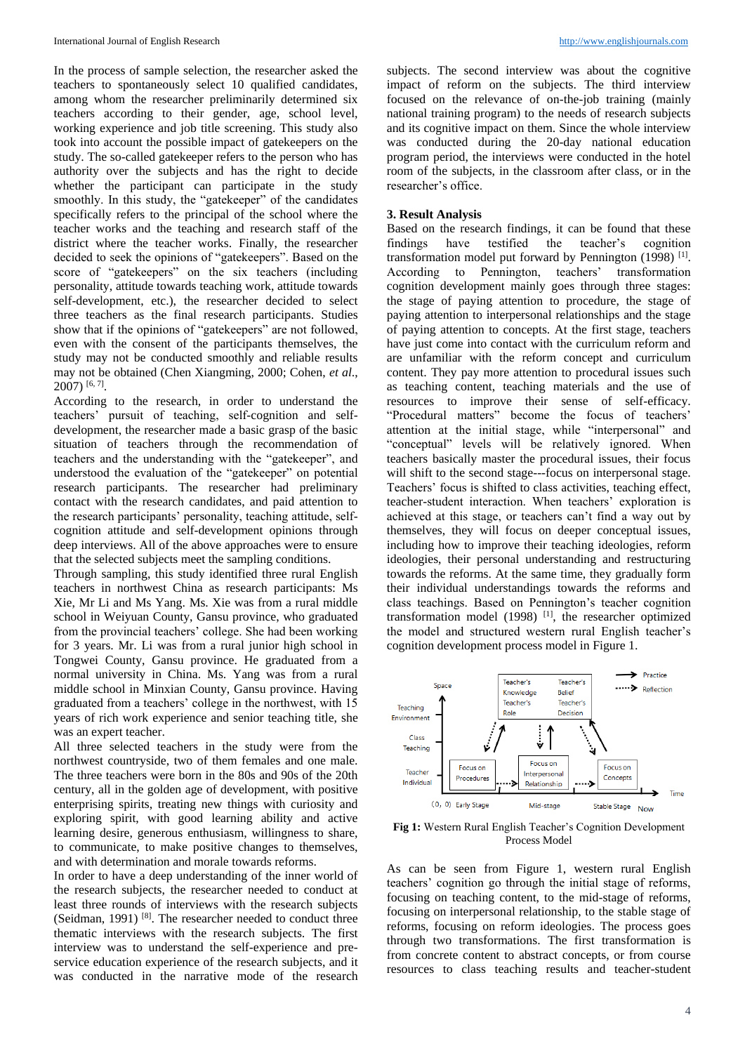In the process of sample selection, the researcher asked the teachers to spontaneously select 10 qualified candidates, among whom the researcher preliminarily determined six teachers according to their gender, age, school level, working experience and job title screening. This study also took into account the possible impact of gatekeepers on the study. The so-called gatekeeper refers to the person who has authority over the subjects and has the right to decide whether the participant can participate in the study smoothly. In this study, the "gatekeeper" of the candidates specifically refers to the principal of the school where the teacher works and the teaching and research staff of the district where the teacher works. Finally, the researcher decided to seek the opinions of "gatekeepers". Based on the score of "gatekeepers" on the six teachers (including personality, attitude towards teaching work, attitude towards self-development, etc.), the researcher decided to select three teachers as the final research participants. Studies show that if the opinions of "gatekeepers" are not followed, even with the consent of the participants themselves, the study may not be conducted smoothly and reliable results may not be obtained (Chen Xiangming, 2000; Cohen, *et al*., 2007) [6, 7] .

According to the research, in order to understand the teachers' pursuit of teaching, self-cognition and selfdevelopment, the researcher made a basic grasp of the basic situation of teachers through the recommendation of teachers and the understanding with the "gatekeeper", and understood the evaluation of the "gatekeeper" on potential research participants. The researcher had preliminary contact with the research candidates, and paid attention to the research participants' personality, teaching attitude, selfcognition attitude and self-development opinions through deep interviews. All of the above approaches were to ensure that the selected subjects meet the sampling conditions.

Through sampling, this study identified three rural English teachers in northwest China as research participants: Ms Xie, Mr Li and Ms Yang. Ms. Xie was from a rural middle school in Weiyuan County, Gansu province, who graduated from the provincial teachers' college. She had been working for 3 years. Mr. Li was from a rural junior high school in Tongwei County, Gansu province. He graduated from a normal university in China. Ms. Yang was from a rural middle school in Minxian County, Gansu province. Having graduated from a teachers' college in the northwest, with 15 years of rich work experience and senior teaching title, she was an expert teacher.

All three selected teachers in the study were from the northwest countryside, two of them females and one male. The three teachers were born in the 80s and 90s of the 20th century, all in the golden age of development, with positive enterprising spirits, treating new things with curiosity and exploring spirit, with good learning ability and active learning desire, generous enthusiasm, willingness to share, to communicate, to make positive changes to themselves, and with determination and morale towards reforms.

In order to have a deep understanding of the inner world of the research subjects, the researcher needed to conduct at least three rounds of interviews with the research subjects (Seidman, 1991) [8]. The researcher needed to conduct three thematic interviews with the research subjects. The first interview was to understand the self-experience and preservice education experience of the research subjects, and it was conducted in the narrative mode of the research

subjects. The second interview was about the cognitive impact of reform on the subjects. The third interview focused on the relevance of on-the-job training (mainly national training program) to the needs of research subjects and its cognitive impact on them. Since the whole interview was conducted during the 20-day national education program period, the interviews were conducted in the hotel room of the subjects, in the classroom after class, or in the researcher's office.

#### **3. Result Analysis**

Based on the research findings, it can be found that these findings have testified the teacher's cognition transformation model put forward by Pennington (1998)<sup>[1]</sup>. According to Pennington, teachers' transformation cognition development mainly goes through three stages: the stage of paying attention to procedure, the stage of paying attention to interpersonal relationships and the stage of paying attention to concepts. At the first stage, teachers have just come into contact with the curriculum reform and are unfamiliar with the reform concept and curriculum content. They pay more attention to procedural issues such as teaching content, teaching materials and the use of resources to improve their sense of self-efficacy. "Procedural matters" become the focus of teachers' attention at the initial stage, while "interpersonal" and "conceptual" levels will be relatively ignored. When teachers basically master the procedural issues, their focus will shift to the second stage---focus on interpersonal stage. Teachers' focus is shifted to class activities, teaching effect, teacher-student interaction. When teachers' exploration is achieved at this stage, or teachers can't find a way out by themselves, they will focus on deeper conceptual issues, including how to improve their teaching ideologies, reform ideologies, their personal understanding and restructuring towards the reforms. At the same time, they gradually form their individual understandings towards the reforms and class teachings. Based on Pennington's teacher cognition transformation model  $(1998)$ <sup>[1]</sup>, the researcher optimized the model and structured western rural English teacher's cognition development process model in Figure 1.



**Fig 1:** Western Rural English Teacher's Cognition Development Process Model

As can be seen from Figure 1, western rural English teachers' cognition go through the initial stage of reforms, focusing on teaching content, to the mid-stage of reforms, focusing on interpersonal relationship, to the stable stage of reforms, focusing on reform ideologies. The process goes through two transformations. The first transformation is from concrete content to abstract concepts, or from course resources to class teaching results and teacher-student